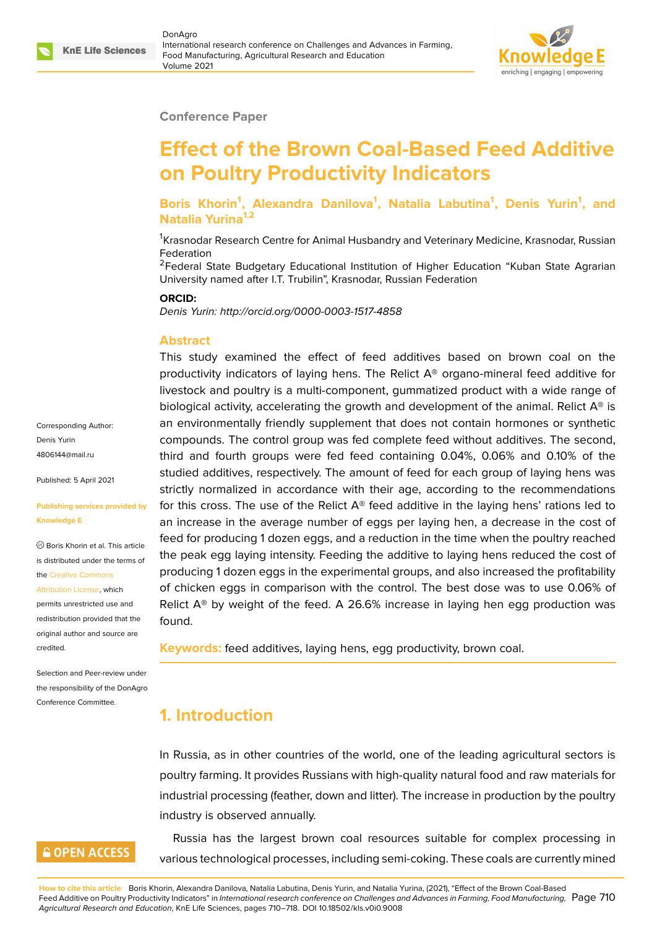#### **Conference Paper**

# **Effect of the Brown Coal-Based Feed Additive on Poultry Productivity Indicators**

**Boris Khorin<sup>1</sup> , Alexandra Danilova<sup>1</sup> , Natalia Labutina<sup>1</sup> , Denis Yurin<sup>1</sup> , and Natalia Yurina1,2**

<sup>1</sup>Krasnodar Research Centre for Animal Husbandry and Veterinary Medicine, Krasnodar, Russian Federation

<sup>2</sup>Federal State Budgetary Educational Institution of Higher Education "Kuban State Agrarian University named after I.T. Trubilin", Krasnodar, Russian Federation

#### **ORCID:**

*Denis Yurin: http://orcid.org/0000-0003-1517-4858*

#### **Abstract**

This study examined the effect of feed additives based on brown coal on the productivity indicators of laying hens. The Relict  $A<sup>®</sup>$  organo-mineral feed additive for livestock and poultry is a multi-component, gummatized product with a wide range of biological activity, accelerating the growth and development of the animal. Relict  $A^{\circledast}$  is an environmentally friendly supplement that does not contain hormones or synthetic compounds. The control group was fed complete feed without additives. The second, third and fourth groups were fed feed containing 0.04%, 0.06% and 0.10% of the studied additives, respectively. The amount of feed for each group of laying hens was strictly normalized in accordance with their age, according to the recommendations for this cross. The use of the Relict  $A^{\circ}$  feed additive in the laying hens' rations led to an increase in the average number of eggs per laying hen, a decrease in the cost of feed for producing 1 dozen eggs, and a reduction in the time when the poultry reached the peak egg laying intensity. Feeding the additive to laying hens reduced the cost of producing 1 dozen eggs in the experimental groups, and also increased the profitability of chicken eggs in comparison with the control. The best dose was to use 0.06% of Relict  $A^{\circ}$  by weight of the feed. A 26.6% increase in laying hen egg production was found.

**Keywords:** feed additives, laying hens, egg productivity, brown coal.

### **1. Introduction**

In Russia, as in other countries of the world, one of the leading agricultural sectors is poultry farming. It provides Russians with high-quality natural food and raw materials for industrial processing (feather, down and litter). The increase in production by the poultry industry is observed annually.

Russia has the largest brown coal resources suitable for complex processing in various technological processes, including semi-coking. These coals are currently mined

Corresponding Author: Denis Yurin 4806144@mail.ru

Published: 5 April 2021

#### **[Publishing servic](mailto:4806144@mail.ru)es provided by Knowledge E**

Boris Khorin et al. This article is distributed under the terms of the Creative Commons

Attribution License, which

permits unrestricted use and redistribution provided that the orig[inal author and sou](https://creativecommons.org/licenses/by/4.0/)rce are [credited.](https://creativecommons.org/licenses/by/4.0/)

Selection and Peer-review under the responsibility of the DonAgro Conference Committee.

### **GOPEN ACCESS**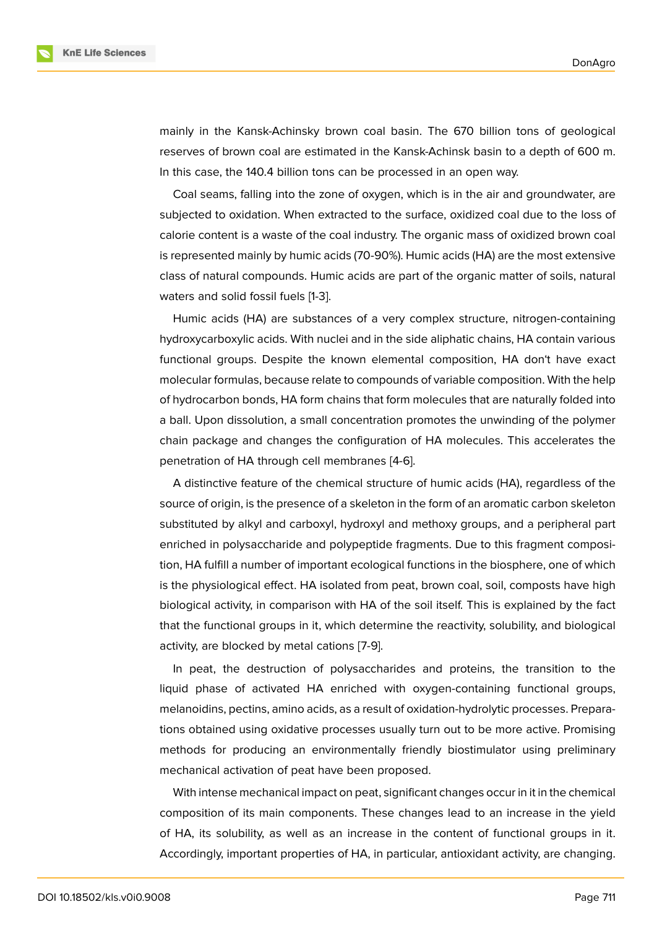

mainly in the Kansk-Achinsky brown coal basin. The 670 billion tons of geological reserves of brown coal are estimated in the Kansk-Achinsk basin to a depth of 600 m. In this case, the 140.4 billion tons can be processed in an open way.

Coal seams, falling into the zone of oxygen, which is in the air and groundwater, are subjected to oxidation. When extracted to the surface, oxidized coal due to the loss of calorie content is a waste of the coal industry. The organic mass of oxidized brown coal is represented mainly by humic acids (70-90%). Humic acids (HA) are the most extensive class of natural compounds. Humic acids are part of the organic matter of soils, natural waters and solid fossil fuels [1-3].

Humic acids (HA) are substances of a very complex structure, nitrogen-containing hydroxycarboxylic acids. With nuclei and in the side aliphatic chains, HA contain various functional groups. Despite the known elemental composition, HA don't have exact molecular formulas, because relate to compounds of variable composition. With the help of hydrocarbon bonds, HA form chains that form molecules that are naturally folded into a ball. Upon dissolution, a small concentration promotes the unwinding of the polymer chain package and changes the configuration of HA molecules. This accelerates the penetration of HA through cell membranes [4-6].

A distinctive feature of the chemical structure of humic acids (HA), regardless of the source of origin, is the presence of a skeleton in the form of an aromatic carbon skeleton substituted by alkyl and carboxyl, hydroxyl and methoxy groups, and a peripheral part enriched in polysaccharide and polypeptide fragments. Due to this fragment composition, HA fulfill a number of important ecological functions in the biosphere, one of which is the physiological effect. HA isolated from peat, brown coal, soil, composts have high biological activity, in comparison with HA of the soil itself. This is explained by the fact that the functional groups in it, which determine the reactivity, solubility, and biological activity, are blocked by metal cations [7-9].

In peat, the destruction of polysaccharides and proteins, the transition to the liquid phase of activated HA enriched with oxygen-containing functional groups, melanoidins, pectins, amino acids, as a result of oxidation-hydrolytic processes. Preparations obtained using oxidative processes usually turn out to be more active. Promising methods for producing an environmentally friendly biostimulator using preliminary mechanical activation of peat have been proposed.

With intense mechanical impact on peat, significant changes occur in it in the chemical composition of its main components. These changes lead to an increase in the yield of HA, its solubility, as well as an increase in the content of functional groups in it. Accordingly, important properties of HA, in particular, antioxidant activity, are changing.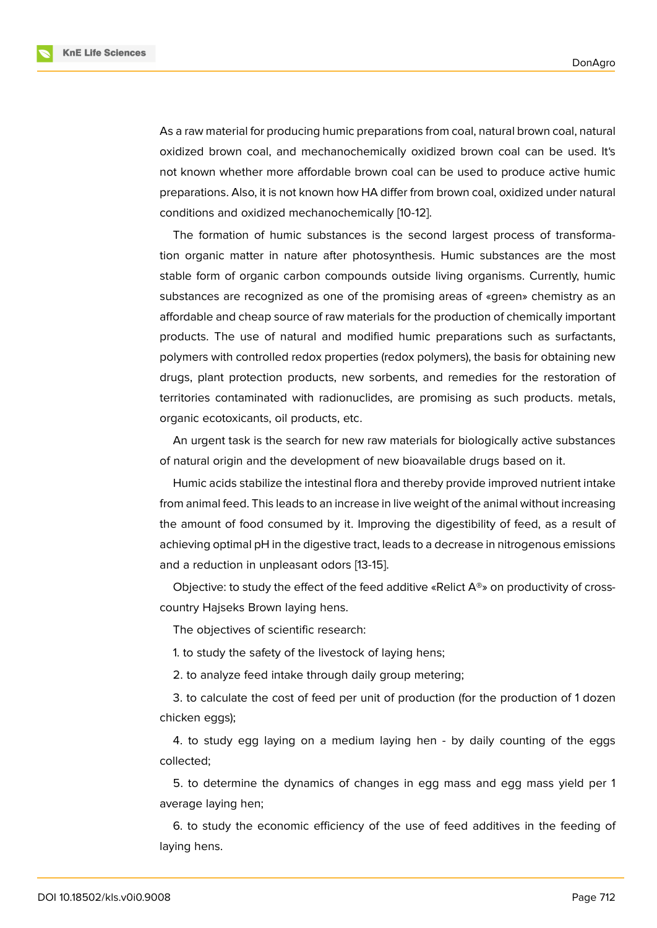**KnE Life Sciences** 

As a raw material for producing humic preparations from coal, natural brown coal, natural oxidized brown coal, and mechanochemically oxidized brown coal can be used. It's not known whether more affordable brown coal can be used to produce active humic preparations. Also, it is not known how HA differ from brown coal, oxidized under natural conditions and oxidized mechanochemically [10-12].

The formation of humic substances is the second largest process of transformation organic matter in nature after photosynthesis. Humic substances are the most stable form of organic carbon compounds outside living organisms. Currently, humic substances are recognized as one of the promising areas of «green» chemistry as an affordable and cheap source of raw materials for the production of chemically important products. The use of natural and modified humic preparations such as surfactants, polymers with controlled redox properties (redox polymers), the basis for obtaining new drugs, plant protection products, new sorbents, and remedies for the restoration of territories contaminated with radionuclides, are promising as such products. metals, organic ecotoxicants, oil products, etc.

An urgent task is the search for new raw materials for biologically active substances of natural origin and the development of new bioavailable drugs based on it.

Humic acids stabilize the intestinal flora and thereby provide improved nutrient intake from animal feed. This leads to an increase in live weight of the animal without increasing the amount of food consumed by it. Improving the digestibility of feed, as a result of achieving optimal pH in the digestive tract, leads to a decrease in nitrogenous emissions and a reduction in unpleasant odors [13-15].

Objective: to study the effect of the feed additive «Relict  $A^{\circledast}$ » on productivity of crosscountry Hajseks Brown laying hens.

The objectives of scientific research:

1. to study the safety of the livestock of laying hens;

2. to analyze feed intake through daily group metering;

3. to calculate the cost of feed per unit of production (for the production of 1 dozen chicken eggs);

4. to study egg laying on a medium laying hen - by daily counting of the eggs collected;

5. to determine the dynamics of changes in egg mass and egg mass yield per 1 average laying hen;

6. to study the economic efficiency of the use of feed additives in the feeding of laying hens.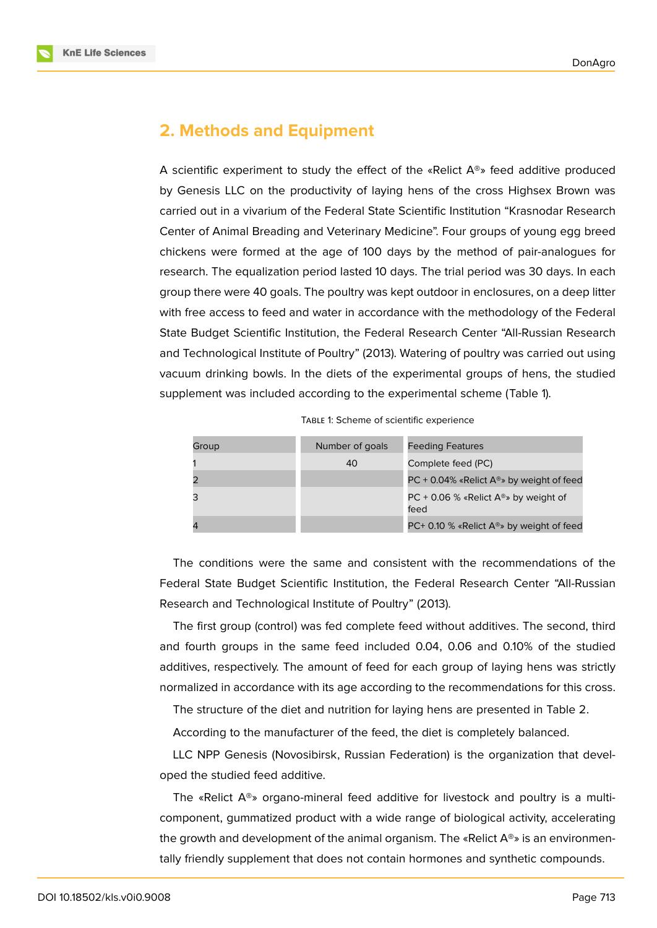

# **2. Methods and Equipment**

A scientific experiment to study the effect of the «Relict  $A^{\circledast}$ » feed additive produced by Genesis LLC on the productivity of laying hens of the cross Highsex Brown was carried out in a vivarium of the Federal State Scientific Institution "Krasnodar Research Center of Animal Breading and Veterinary Medicine". Four groups of young egg breed chickens were formed at the age of 100 days by the method of pair-analogues for research. The equalization period lasted 10 days. The trial period was 30 days. In each group there were 40 goals. The poultry was kept outdoor in enclosures, on a deep litter with free access to feed and water in accordance with the methodology of the Federal State Budget Scientific Institution, the Federal Research Center "All-Russian Research and Technological Institute of Poultry" (2013). Watering of poultry was carried out using vacuum drinking bowls. In the diets of the experimental groups of hens, the studied supplement was included according to the experimental scheme (Table 1).

| TABLE 1: Scheme of scientific experience |  |  |
|------------------------------------------|--|--|
|------------------------------------------|--|--|

| Group | Number of goals | <b>Feeding Features</b>                                      |
|-------|-----------------|--------------------------------------------------------------|
|       | 40              | Complete feed (PC)                                           |
|       |                 | PC + 0.04% «Relict $A^{\circledast}$ » by weight of feed     |
|       |                 | PC + 0.06 % «Relict $A^{\circledast}$ » by weight of<br>feed |
|       |                 | PC+ 0.10 % «Relict $A^{\circledast}$ » by weight of feed     |

The conditions were the same and consistent with the recommendations of the Federal State Budget Scientific Institution, the Federal Research Center "All-Russian Research and Technological Institute of Poultry" (2013).

The first group (control) was fed complete feed without additives. The second, third and fourth groups in the same feed included 0.04, 0.06 and 0.10% of the studied additives, respectively. The amount of feed for each group of laying hens was strictly normalized in accordance with its age according to the recommendations for this cross.

The structure of the diet and nutrition for laying hens are presented in Table 2.

According to the manufacturer of the feed, the diet is completely balanced.

LLC NPP Genesis (Novosibirsk, Russian Federation) is the organization that developed the studied feed additive.

The «Relict  $A^{\circledast}$ » organo-mineral feed additive for livestock and poultry is a multicomponent, gummatized product with a wide range of biological activity, accelerating the growth and development of the animal organism. The «Relict  $A^{\circledast}$ » is an environmentally friendly supplement that does not contain hormones and synthetic compounds.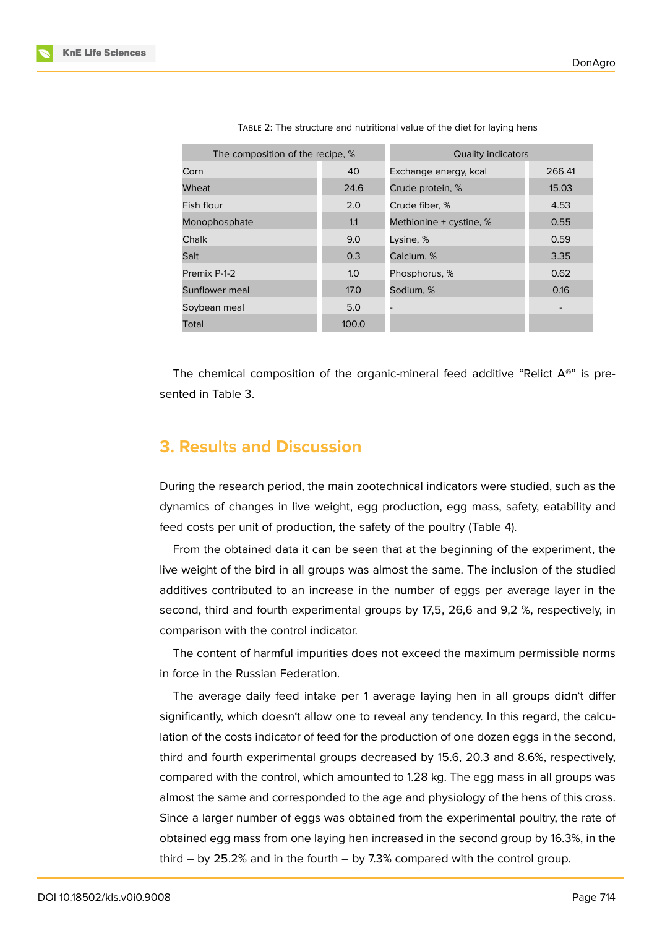| The composition of the recipe, % |       | Quality indicators              |       |  |
|----------------------------------|-------|---------------------------------|-------|--|
| Corn                             | 40    | Exchange energy, kcal<br>266.41 |       |  |
| Wheat                            | 24.6  | Crude protein, %                | 15.03 |  |
| Fish flour                       | 2.0   | Crude fiber, %                  | 4.53  |  |
| Monophosphate                    | 1.1   | Methionine + cystine, %         | 0.55  |  |
| Chalk                            | 9.0   | Lysine, %                       | 0.59  |  |
| Salt                             | 0.3   | Calcium, %                      | 3.35  |  |
| Premix P-1-2                     | 1.0   | Phosphorus, %                   | 0.62  |  |
| Sunflower meal                   | 17.0  | Sodium, %                       | 0.16  |  |
| Soybean meal                     | 5.0   |                                 |       |  |
| Total                            | 100.0 |                                 |       |  |

TABLE 2: The structure and nutritional value of the diet for laying hens

The chemical composition of the organic-mineral feed additive "Relict  $A^{\otimes n}$  is presented in Table 3.

### **3. Results and Discussion**

During the research period, the main zootechnical indicators were studied, such as the dynamics of changes in live weight, egg production, egg mass, safety, eatability and feed costs per unit of production, the safety of the poultry (Table 4).

From the obtained data it can be seen that at the beginning of the experiment, the live weight of the bird in all groups was almost the same. The inclusion of the studied additives contributed to an increase in the number of eggs per average layer in the second, third and fourth experimental groups by 17,5, 26,6 and 9,2 %, respectively, in comparison with the control indicator.

The content of harmful impurities does not exceed the maximum permissible norms in force in the Russian Federation.

The average daily feed intake per 1 average laying hen in all groups didn't differ significantly, which doesn't allow one to reveal any tendency. In this regard, the calculation of the costs indicator of feed for the production of one dozen eggs in the second, third and fourth experimental groups decreased by 15.6, 20.3 and 8.6%, respectively, compared with the control, which amounted to 1.28 kg. The egg mass in all groups was almost the same and corresponded to the age and physiology of the hens of this cross. Since a larger number of eggs was obtained from the experimental poultry, the rate of obtained egg mass from one laying hen increased in the second group by 16.3%, in the third – by 25.2% and in the fourth – by 7.3% compared with the control group.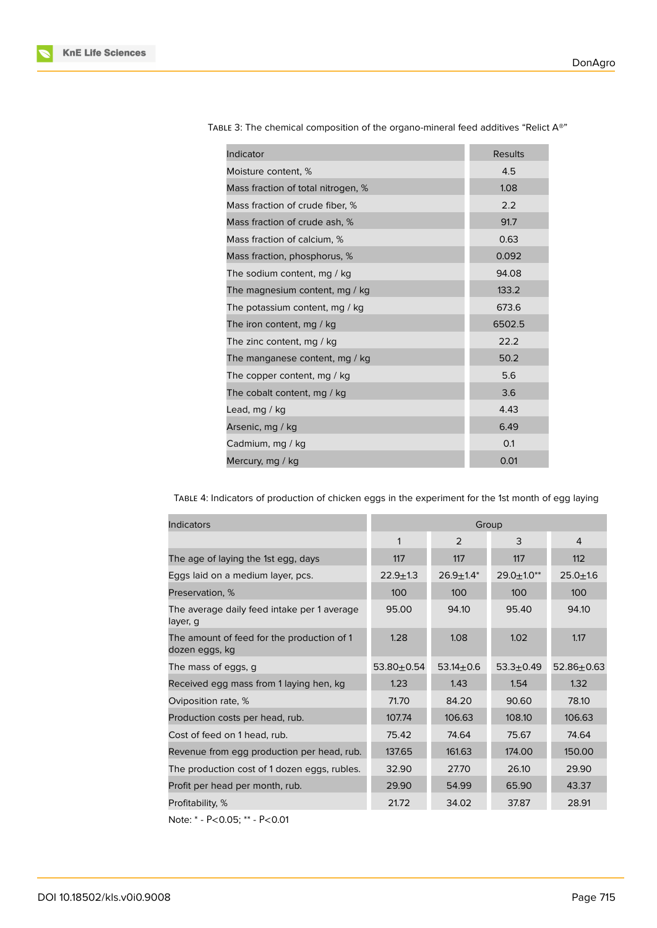| Indicator                          | <b>Results</b> |
|------------------------------------|----------------|
| Moisture content, %                | 4.5            |
| Mass fraction of total nitrogen, % | 1.08           |
| Mass fraction of crude fiber, %    | 2.2            |
| Mass fraction of crude ash. %      | 91.7           |
| Mass fraction of calcium, %        | 0.63           |
| Mass fraction, phosphorus, %       | 0.092          |
| The sodium content, mg / kg        | 94.08          |
| The magnesium content, mg / kg     | 133.2          |
| The potassium content, mg / kg     | 673.6          |
| The iron content, mg / kg          | 6502.5         |
| The zinc content, mg / kg          | 22.2           |
| The manganese content, mg / kg     | 50.2           |
| The copper content, mg / kg        | 5.6            |
| The cobalt content, mg / kg        | 3.6            |
| Lead, mg / kg                      | 4.43           |
| Arsenic, mg / kg                   | 6.49           |
| Cadmium, mg / kg                   | 0.1            |
| Mercury, mg / kg                   | 0.01           |

TABLE 3: The chemical composition of the organo-mineral feed additives "Relict A®"

TABLE 4: Indicators of production of chicken eggs in the experiment for the 1st month of egg laying

| <b>Indicators</b>                                            | Group          |                  |                  |                |
|--------------------------------------------------------------|----------------|------------------|------------------|----------------|
|                                                              | 1              | 2                | 3                | 4              |
| The age of laying the 1st egg, days                          | 117            | 117              | 117              | 112            |
| Eggs laid on a medium layer, pcs.                            | $22.9 \pm 1.3$ | $26.9 \pm 1.4^*$ | $29.0 \pm 1.0**$ | $25.0 + 1.6$   |
| Preservation, %                                              | 100            | 100              | 100              | 100            |
| The average daily feed intake per 1 average<br>layer, g      | 95.00          | 94.10            | 95.40            | 94.10          |
| The amount of feed for the production of 1<br>dozen eggs, kg | 1.28           | 1.08             | 1.02             | 1.17           |
| The mass of eggs, g                                          | $53.80 + 0.54$ | $53.14 \pm 0.6$  | $53.3 + 0.49$    | $52.86 + 0.63$ |
| Received egg mass from 1 laying hen, kg                      | 1.23           | 1.43             | 1.54             | 1.32           |
| Oviposition rate, %                                          | 71.70          | 84.20            | 90.60            | 78.10          |
| Production costs per head, rub.                              | 107.74         | 106.63           | 108.10           | 106.63         |
| Cost of feed on 1 head, rub.                                 | 75.42          | 74.64            | 75.67            | 74.64          |
| Revenue from egg production per head, rub.                   | 137.65         | 161.63           | 174.00           | 150.00         |
| The production cost of 1 dozen eggs, rubles.                 | 32.90          | 27.70            | 26.10            | 29.90          |
| Profit per head per month, rub.                              | 29.90          | 54.99            | 65.90            | 43.37          |
| Profitability, %                                             | 21.72          | 34.02            | 37.87            | 28.91          |

Note: \* - Р<0.05; \*\* - Р<0.01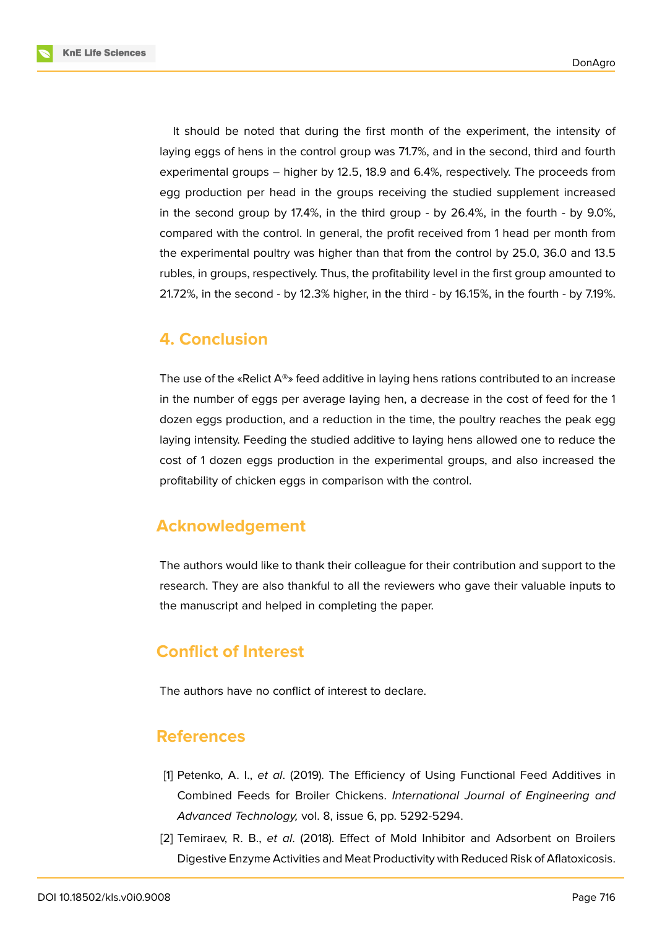**KnE Life Sciences** 



It should be noted that during the first month of the experiment, the intensity of laying eggs of hens in the control group was 71.7%, and in the second, third and fourth experimental groups – higher by 12.5, 18.9 and 6.4%, respectively. The proceeds from egg production per head in the groups receiving the studied supplement increased in the second group by 17.4%, in the third group - by 26.4%, in the fourth - by 9.0%, compared with the control. In general, the profit received from 1 head per month from the experimental poultry was higher than that from the control by 25.0, 36.0 and 13.5 rubles, in groups, respectively. Thus, the profitability level in the first group amounted to 21.72%, in the second - by 12.3% higher, in the third - by 16.15%, in the fourth - by 7.19%.

### **4. Conclusion**

The use of the «Relict  $A^{\circledast}$ » feed additive in laying hens rations contributed to an increase in the number of eggs per average laying hen, a decrease in the cost of feed for the 1 dozen eggs production, and a reduction in the time, the poultry reaches the peak egg laying intensity. Feeding the studied additive to laying hens allowed one to reduce the cost of 1 dozen eggs production in the experimental groups, and also increased the profitability of chicken eggs in comparison with the control.

# **Acknowledgement**

The authors would like to thank their colleague for their contribution and support to the research. They are also thankful to all the reviewers who gave their valuable inputs to the manuscript and helped in completing the paper.

# **Conflict of Interest**

The authors have no conflict of interest to declare.

### **References**

- [1] Petenko, A. I., *et al*. (2019). The Efficiency of Using Functional Feed Additives in Combined Feeds for Broiler Chickens. *International Journal of Engineering and Advanced Technology,* vol. 8, issue 6, pp. 5292-5294.
- [2] Temiraev, R. B., *et al*. (2018). Effect of Mold Inhibitor and Adsorbent on Broilers Digestive Enzyme Activities and Meat Productivity with Reduced Risk of Aflatoxicosis.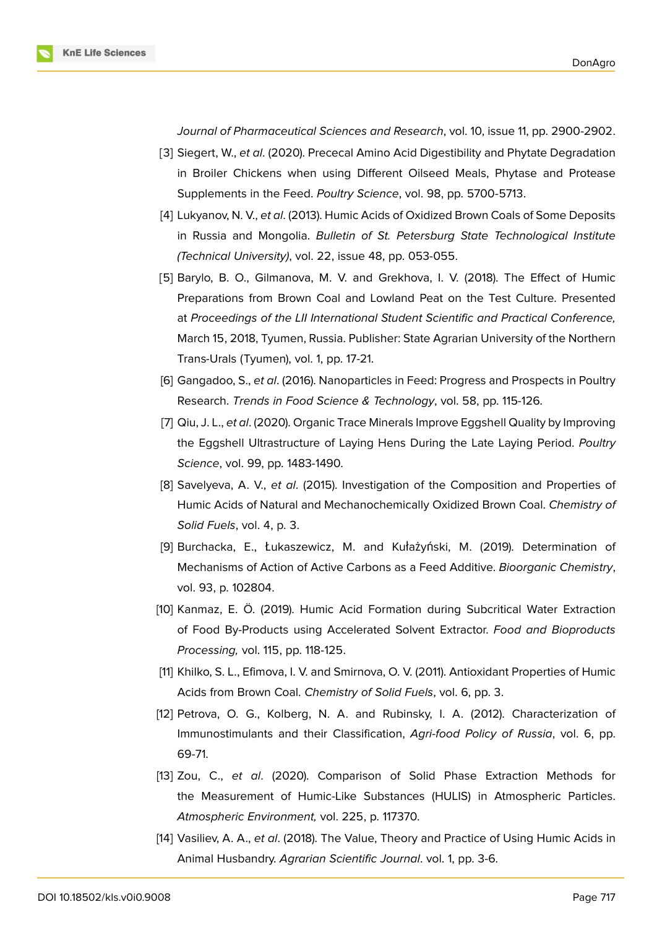*Journal of Pharmaceutical Sciences and Research*, vol. 10, issue 11, pp. 2900-2902.

- [3] Siegert, W., *et al*. (2020). Prececal Amino Acid Digestibility and Phytate Degradation in Broiler Chickens when using Different Oilseed Meals, Phytase and Protease Supplements in the Feed. *Poultry Science*, vol. 98, pp. 5700-5713.
- [4] Lukyanov, N. V., *et al*. (2013). Humic Acids of Oxidized Brown Coals of Some Deposits in Russia and Mongolia. *Bulletin of St. Petersburg State Technological Institute (Technical University)*, vol. 22, issue 48, pp. 053-055.
- [5] Barylo, B. O., Gilmanova, M. V. and Grekhova, I. V. (2018). The Effect of Humic Preparations from Brown Coal and Lowland Peat on the Test Culture. Presented at *Proceedings of the LII International Student Scientific and Practical Conference,* March 15, 2018, Tyumen, Russia. Publisher: State Agrarian University of the Northern Trans-Urals (Tyumen), vol. 1, pp. 17-21.
- [6] Gangadoo, S., *et al*. (2016). Nanoparticles in Feed: Progress and Prospects in Poultry Research. *Trends in Food Science & Technology*, vol. 58, pp. 115-126.
- [7] Qiu, J. L., *et al*. (2020). Organic Trace Minerals Improve Eggshell Quality by Improving the Eggshell Ultrastructure of Laying Hens During the Late Laying Period. *Poultry Science*, vol. 99, pp. 1483-1490.
- [8] Savelyeva, A. V., *et al*. (2015). Investigation of the Composition and Properties of Humic Acids of Natural and Mechanochemically Oxidized Brown Coal. *Chemistry of Solid Fuels*, vol. 4, p. 3.
- [9] Burchacka, E., Łukaszewicz, M. and Kułażyński, M. (2019). Determination of Mechanisms of Action of Active Carbons as a Feed Additive. *Bioorganic Chemistry*, vol. 93, p. 102804.
- [10] Kanmaz, E. Ö. (2019). Humic Acid Formation during Subcritical Water Extraction of Food By-Products using Accelerated Solvent Extractor. *Food and Bioproducts Processing,* vol. 115, pp. 118-125.
- [11] Khilko, S. L., Efimova, I. V. and Smirnova, O. V. (2011). Antioxidant Properties of Humic Acids from Brown Coal. *Chemistry of Solid Fuels*, vol. 6, pp. 3.
- [12] Petrova, O. G., Kolberg, N. A. and Rubinsky, I. A. (2012). Characterization of Immunostimulants and their Classification, *Agri-food Policy of Russia*, vol. 6, pp. 69-71.
- [13] Zou, C., *et al*. (2020). Comparison of Solid Phase Extraction Methods for the Measurement of Humic-Like Substances (HULIS) in Atmospheric Particles. *Atmospheric Environment,* vol. 225, p. 117370.
- [14] Vasiliev, A. A., *et al*. (2018). The Value, Theory and Practice of Using Humic Acids in Animal Husbandry. *Agrarian Scientific Journal*. vol. 1, pp. 3-6.